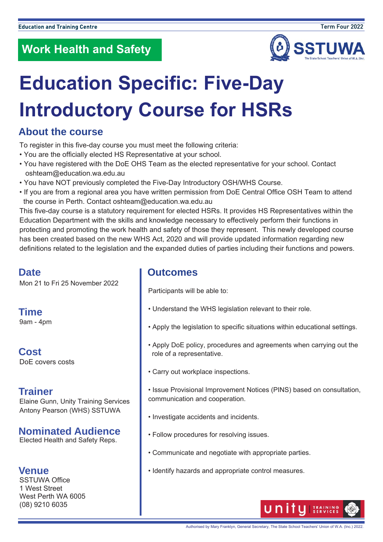

# **Education Specific: Five-Day Introductory Course for HSRs**

### **About the course**

To register in this five-day course you must meet the following criteria:

- You are the officially elected HS Representative at your school.
- You have registered with the DoE OHS Team as the elected representative for your school. Contact oshteam@education.wa.edu.au
- You have NOT previously completed the Five-Day Introductory OSH/WHS Course.
- If you are from a regional area you have written permission from DoE Central Office OSH Team to attend the course in Perth. Contact oshteam@education.wa.edu.au

This five-day course is a statutory requirement for elected HSRs. It provides HS Representatives within the Education Department with the skills and knowledge necessary to effectively perform their functions in protecting and promoting the work health and safety of those they represent. This newly developed course has been created based on the new WHS Act, 2020 and will provide updated information regarding new definitions related to the legislation and the expanded duties of parties including their functions and powers.

#### **Date**

Mon 21 to Fri 25 November 2022

**Time**  9am - 4pm

**Cost**  DoE covers costs

### **Trainer**

Elaine Gunn, Unity Training Services Antony Pearson (WHS) SSTUWA

#### **Nominated Audience**

Elected Health and Safety Reps.

#### **Venue**

SSTUWA Office 1 West Street West Perth WA 6005 (08) 9210 6035

#### **Outcomes**

Participants will be able to:

- Understand the WHS legislation relevant to their role.
- Apply the legislation to specific situations within educational settings.
- Apply DoE policy, procedures and agreements when carrying out the role of a representative.
- Carry out workplace inspections.
- Issue Provisional Improvement Notices (PINS) based on consultation, communication and cooperation.
- Investigate accidents and incidents.
- Follow procedures for resolving issues.
- Communicate and negotiate with appropriate parties.
- Identify hazards and appropriate control measures.